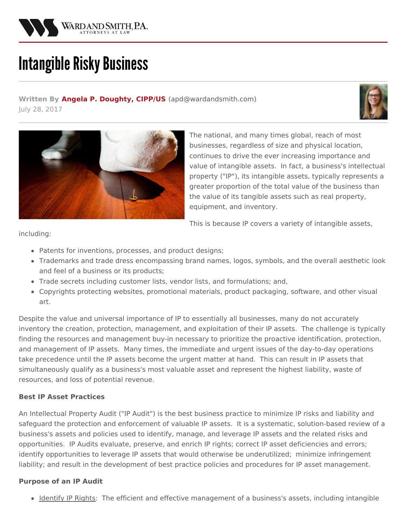

# **Intangible Risky Business**

**Written By Angela P. [Doughty,](/attorneys/angela-doughty) CIPP/US (**[apd@wardandsmith.com](mailto:apd@wardandsmith.com)**)** July 28, 2017





The national, and many times global, reach of most businesses, regardless of size and physical location, continues to drive the ever increasing importance and value of intangible assets. In fact, a business's [intellectual](http://www.wardandsmith.com/practice-areas/intellectual-property) property ("IP"), its intangible assets, typically represents a greater proportion of the total value of the business than the value of its tangible assets such as real property, equipment, and inventory.

This is because IP covers a variety of intangible assets,

including:

- Patents for inventions, processes, and product designs;
- Trademarks and trade dress encompassing brand names, logos, symbols, and the overall aesthetic look and feel of a business or its products;
- Trade secrets including customer lists, vendor lists, and formulations; and,
- Copyrights protecting websites, promotional materials, product packaging, software, and other visual art.

Despite the value and universal importance of IP to essentially all businesses, many do not accurately inventory the creation, protection, management, and exploitation of their IP assets. The challenge is typically finding the resources and management buy-in necessary to prioritize the proactive identification, protection, and management of IP assets. Many times, the immediate and urgent issues of the day-to-day operations take precedence until the IP assets become the urgent matter at hand. This can result in IP assets that simultaneously qualify as a business's most valuable asset and represent the highest liability, waste of resources, and loss of potential revenue.

### **Best IP Asset Practices**

An Intellectual Property Audit ("IP Audit") is the best business practice to minimize IP risks and liability and safeguard the protection and enforcement of valuable IP assets. It is a systematic, solution-based review of a business's assets and policies used to identify, manage, and leverage IP assets and the related risks and opportunities. IP Audits evaluate, preserve, and enrich IP rights; correct IP asset deficiencies and errors; identify opportunities to leverage IP assets that would otherwise be underutilized; minimize infringement liability; and result in the development of best practice policies and procedures for IP asset management.

### **Purpose of an IP Audit**

• Identify IP Rights: The efficient and effective management of a business's assets, including intangible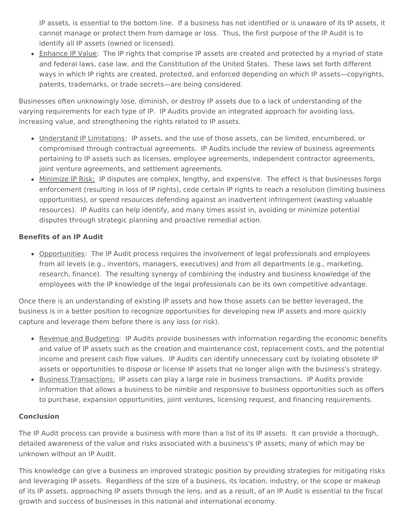IP assets, is essential to the bottom line. If a business has not identified or is unaware of its IP assets, it cannot manage or protect them from damage or loss. Thus, the first purpose of the IP Audit is to identify all IP assets (owned or licensed).

• Enhance IP Value: The IP rights that comprise IP assets are created and protected by a myriad of state and federal laws, case law, and the Constitution of the United States. These laws set forth different ways in which IP rights are created, protected, and enforced depending on which IP assets—copyrights, patents, trademarks, or trade secrets—are being considered.

Businesses often unknowingly lose, diminish, or destroy IP assets due to a lack of understanding of the varying requirements for each type of IP. IP Audits provide an integrated approach for avoiding loss, increasing value, and strengthening the rights related to IP assets.

- Understand IP Limitations: IP assets, and the use of those assets, can be limited, encumbered, or compromised through contractual agreements. IP Audits include the review of business agreements pertaining to IP assets such as licenses, employee agreements, independent contractor agreements, joint venture agreements, and settlement agreements.
- Minimize IP Risk: IP disputes are complex, lengthy, and expensive. The effect is that businesses forgo enforcement (resulting in loss of IP rights), cede certain IP rights to reach a resolution (limiting business opportunities), or spend resources defending against an inadvertent infringement (wasting valuable resources). IP Audits can help identify, and many times assist in, avoiding or minimize potential disputes through strategic planning and proactive remedial action.

# **Benefits of an IP Audit**

Opportunities: The IP Audit process requires the involvement of legal professionals and employees from all levels (e.g., inventors, managers, executives) and from all departments (e.g., marketing, research, finance). The resulting synergy of combining the industry and business knowledge of the employees with the IP knowledge of the legal professionals can be its own competitive advantage.

Once there is an understanding of existing IP assets and how those assets can be better leveraged, the business is in a better position to recognize opportunities for developing new IP assets and more quickly capture and leverage them before there is any loss (or risk).

- Revenue and Budgeting: IP Audits provide businesses with information regarding the economic benefits and value of IP assets such as the creation and maintenance cost, replacement costs, and the potential income and present cash flow values. IP Audits can identify unnecessary cost by isolating obsolete IP assets or opportunities to dispose or license IP assets that no longer align with the business's strategy.
- **Business Transactions: IP assets can play a large role in business transactions. IP Audits provide** information that allows a business to be nimble and responsive to business opportunities such as offers to purchase, expansion opportunities, joint ventures, licensing request, and financing requirements.

# **Conclusion**

The IP Audit process can provide a business with more than a list of its IP assets. It can provide a thorough, detailed awareness of the value and risks associated with a business's IP assets; many of which may be unknown without an IP Audit.

This knowledge can give a business an improved strategic position by providing strategies for mitigating risks and leveraging IP assets. Regardless of the size of a business, its location, industry, or the scope or makeup of its IP assets, approaching IP assets through the lens, and as a result, of an IP Audit is essential to the fiscal growth and success of businesses in this national and international economy.